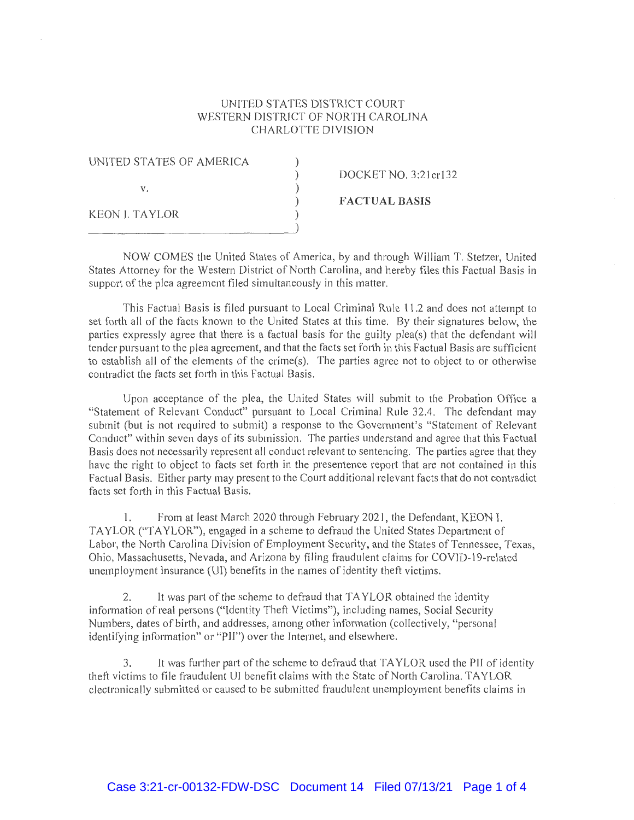## UNITED STATES DISTRICT COURT WESTERN DISTRICT OF NORTH CAROLINA CHARLOTTE DIVISION

| UNITED STATES OF AMERICA |                       |
|--------------------------|-----------------------|
|                          | DOCKET NO. 3:21 cr132 |
| V.                       |                       |
|                          | <b>FACTUAL BASIS</b>  |
| KEON I. TAYLOR           |                       |
|                          |                       |

NOW COMES the United States of America, by and through William T. Stetzer, United States Attorney for the Western District of North Carolina, and hereby files this Factual Basis in support of the plea agreement filed simultaneously in this matter.

This Factual Basis is filed pursuant to Local Criminal Rule 11.2 and does not attempt to set forth all of the facts known to the United States at this time. By their signatures below, the parties expressly agree that there is a factual basis for the guilty plea(s) that the defendant will tender pursuant to the plea agreement, and that the facts set forth in this Factual Basis are sufficient to establish all of the elements of the crime(s). The parties agree not to object to or otherwise contradict the facts set forth in this Factual Basis.

Upon acceptance of the plea, the United States will submit to the Probation Office a "Statement of Relevant Conduct" pursuant to Local Criminal Rule 32.4. The defendant may submit (but is not required to submit) a response to the Government's "Statement of Relevant Conduct" within seven days of its submission. The parties understand and agree that this Factual Basis does not necessarily represent all conduct relevant to sentencing. The patties agree that they have the right to object to facts set forth in the presentence report that are not contained in this Factual Basis. Either party may present to the Court additional relevant facts that do not contradict facts set forth in this Factual Basis.

I. From at least March 2020 through February 2021, the Defendant, KEON I. TAYLOR ("TAYLOR"), engaged in a scheme to defraud the United States Department of Labor, the North Carolina Division of Employment Security, and the States of Tennessee, Texas, Ohio, Massachusetts, Nevada, and Arizona by filing fraudulent claims for COVJD-19-related unemployment insurance (UI) benefits in the names of identity theft victims.

2. It was part of the scheme to defraud that TAYLOR obtained the identity information of real persons ("Identity Theft Victims"), including names, Social Security Numbers, dates of birth, and addresses, among other information (collectively, "personal identifying information" or "PII") over the Internet, and elsewhere.

3. It was further part of the scheme to defraud that TAYLOR used the PIJ of identity theft victims to file fraudulent UI benefit claims with the State of North Carolina. TAYLOR electronically submitted or caused to be submitted fraudulent unemployment benefits claims in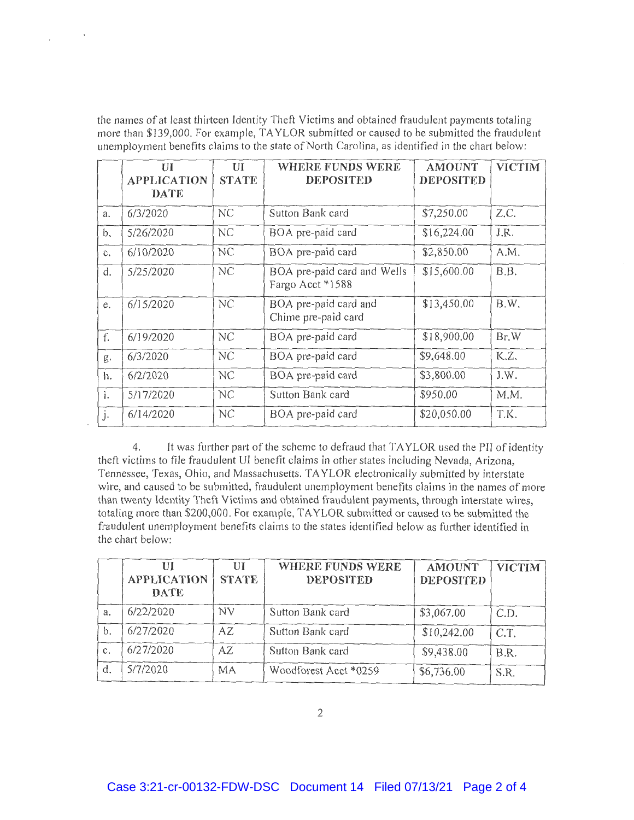the names of at least thirteen Identity Theft Victims and obtained fraudulent payments totaling more than \$139,000. For example, TAYLOR submitted or caused to be submitted the fraudulent unemployment benefits claims to the state of North Carolina, as identified in the chart below:

 $\sim$   $\sim$ 

|                | UI                                | UI           | WHERE FUNDS WERE                                | <b>AMOUNT</b>    | <b>VICTIM</b> |
|----------------|-----------------------------------|--------------|-------------------------------------------------|------------------|---------------|
|                | <b>APPLICATION</b><br><b>DATE</b> | <b>STATE</b> | <b>DEPOSITED</b>                                | <b>DEPOSITED</b> |               |
| a.             | 6/3/2020                          | NC           | Sutton Bank card                                | \$7,250.00       | Z.C.          |
| b.             | 5/26/2020                         | NC           | BOA pre-paid card                               | \$16,224.00      | J.R.          |
| $C_{\star}$    | 6/10/2020                         | NC           | BOA pre-paid card                               | \$2,850.00       | A.M.          |
| d.             | 5/25/2020                         | NC           | BOA pre-paid card and Wells<br>Fargo Acct *1588 | \$15,600.00      | B.B.          |
| e.             | 6/15/2020                         | NC           | BOA pre-paid card and<br>Chime pre-paid card    | \$13,450.00      | B.W.          |
| f.             | 6/19/2020                         | NC           | BOA pre-paid card                               | \$18,900.00      | Br.W          |
| g.             | 6/3/2020                          | NC           | BOA pre-paid card                               | \$9,648.00       | K.Z.          |
| h.             | 6/2/2020                          | NC           | BOA pre-paid card                               | \$3,800.00       | J.W.          |
| $\mathbf{i}$ . | 5/17/2020                         | NC           | Sutton Bank card                                | \$950.00         | M.M.          |
| j.             | 6/14/2020                         | NC           | BOA pre-paid card                               | \$20,050.00      | T.K.          |

4. It was further part of the scheme to defraud that TAYLOR used the PII of identity theft victims to file fraudulent UI benefit claims in other states including Nevada, Arizona, Tennessee, Texas, Ohio, and Massachusetts. TAYLOR electronically submitted by interstate wire, and caused to be submitted, fraudulent unemployment benefits claims in the names of more than twenty Identity Theft Victims and obtained fraudulent payments, through interstate wires, totaling more than \$200,000. For example, TAYLOR submitted or caused to be submitted the fraudulent unemployment benefits claims to the states identified below as further identified in the chart below:

|    | Ш<br><b>APPLICATION</b><br><b>DATE</b> | UІ<br><b>STATE</b> | WHERE FUNDS WERE<br><b>DEPOSITED</b> | <b>AMOUNT</b><br><b>DEPOSITED</b> | <b>VICTIM</b> |
|----|----------------------------------------|--------------------|--------------------------------------|-----------------------------------|---------------|
| а. | 6/22/2020                              | NV.                | Sutton Bank card                     | \$3,067.00                        | C.D.          |
| b. | 6/27/2020                              | AZ.                | Sutton Bank card                     | \$10,242.00                       | C.T.          |
| C. | 6/27/2020                              | AZ                 | Sutton Bank card                     | \$9,438.00                        | B.R.          |
| d. | 5/7/2020                               | МA                 | Woodforest Acct *0259                | \$6,736.00                        | S.R.          |

2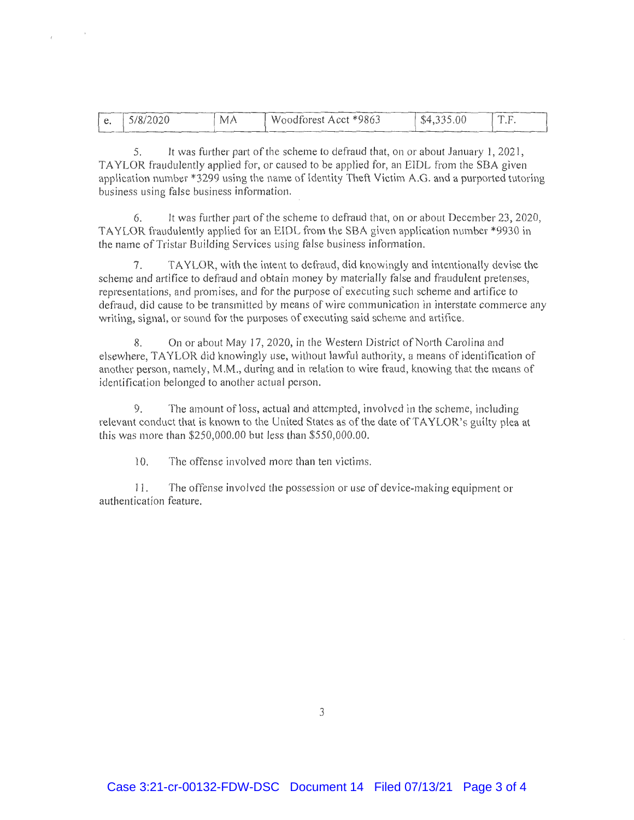|  | 5/8/2020 | МA | Woodforest Acct *9863 | \$4,335.00 | T <sub>0</sub><br>$\cdot$ |
|--|----------|----|-----------------------|------------|---------------------------|
|  |          |    |                       |            |                           |

5. It was further part of the scheme to defraud that, on or about January 1, 2021, TAYLOR fraudulently applied for, or caused to be applied for, an EIDL from the SBA given application number \*3299 using the name of Identity Theft Victim A.G. and a purported tutoring business using false business information.

6. It was further part of the scheme to defraud that, on or about December 23, 2020, TAYLOR fraudulently applied for an EIDL from the SBA given application number \*9930 in the name of Tristar Building Services using false business information.

7. TAYLOR, with the intent to defraud, did knowingly and intentionally devise the scheme and artifice to defraud and obtain money by materially false and fraudulent pretenses, representations, and promises, and for the purpose of executing such scheme and artifice to defraud, did cause to be transmitted by means of wire communication in interstate commerce any writing, signal, or sound for the purposes of executing said scheme and artifice.

8. On or about May 17, 2020, in the Western District of North Carolina and elsewhere, TAYLOR did knowingly use, without lawful authority, a means of identification of another person, namely, **M.M.,** during and in relation to wire fraud, knowing that the means of identification belonged to another actual person.

9. The amount of loss, actual and attempted, involved in the scheme, including relevant conduct that is known to the United States as of the date of TA YLOR's guilty plea at this was more than \$250,000.00 but less than \$550,000.00.

10. The offense involved more than ten victims.

11. The offense involved the possession or use of device-making equipment or authentication feature.